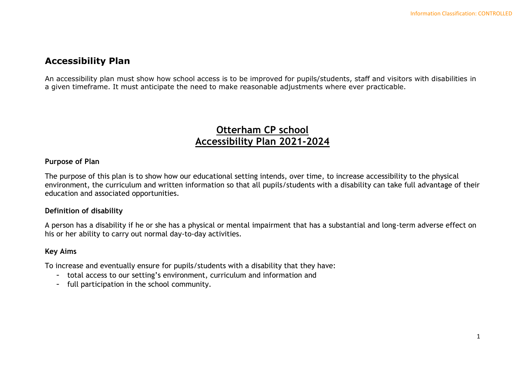# **Accessibility Plan**

An accessibility plan must show how school access is to be improved for pupils/students, staff and visitors with disabilities in a given timeframe. It must anticipate the need to make reasonable adjustments where ever practicable.

# **Otterham CP school Accessibility Plan 2021-2024**

## **Purpose of Plan**

The purpose of this plan is to show how our educational setting intends, over time, to increase accessibility to the physical environment, the curriculum and written information so that all pupils/students with a disability can take full advantage of their education and associated opportunities.

### **Definition of disability**

A person has a disability if he or she has a physical or mental impairment that has a substantial and long-term adverse effect on his or her ability to carry out normal day-to-day activities.

#### **Key Aims**

To increase and eventually ensure for pupils/students with a disability that they have:

- total access to our setting's environment, curriculum and information and
- full participation in the school community.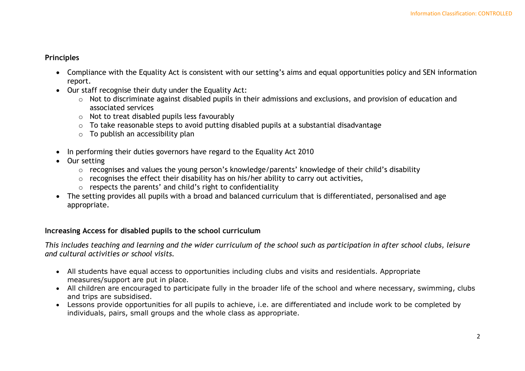## **Principles**

- Compliance with the Equality Act is consistent with our setting's aims and equal opportunities policy and SEN information report.
- Our staff recognise their duty under the Equality Act:
	- o Not to discriminate against disabled pupils in their admissions and exclusions, and provision of education and associated services
	- $\circ$  Not to treat disabled pupils less favourably
	- o To take reasonable steps to avoid putting disabled pupils at a substantial disadvantage
	- $\circ$  To publish an accessibility plan
- In performing their duties governors have regard to the Equality Act 2010
- Our setting
	- o recognises and values the young person's knowledge/parents' knowledge of their child's disability
	- $\circ$  recognises the effect their disability has on his/her ability to carry out activities,
	- o respects the parents' and child's right to confidentiality
- The setting provides all pupils with a broad and balanced curriculum that is differentiated, personalised and age appropriate.

# **Increasing Access for disabled pupils to the school curriculum**

*This includes teaching and learning and the wider curriculum of the school such as participation in after school clubs, leisure and cultural activities or school visits.*

- All students have equal access to opportunities including clubs and visits and residentials. Appropriate measures/support are put in place.
- All children are encouraged to participate fully in the broader life of the school and where necessary, swimming, clubs and trips are subsidised.
- Lessons provide opportunities for all pupils to achieve, i.e. are differentiated and include work to be completed by individuals, pairs, small groups and the whole class as appropriate.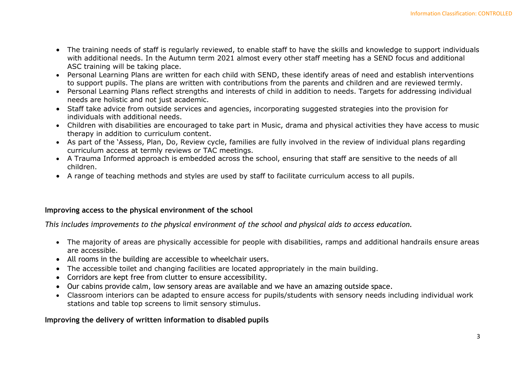- The training needs of staff is regularly reviewed, to enable staff to have the skills and knowledge to support individuals with additional needs. In the Autumn term 2021 almost every other staff meeting has a SEND focus and additional ASC training will be taking place.
- Personal Learning Plans are written for each child with SEND, these identify areas of need and establish interventions to support pupils. The plans are written with contributions from the parents and children and are reviewed termly.
- Personal Learning Plans reflect strengths and interests of child in addition to needs. Targets for addressing individual needs are holistic and not just academic.
- Staff take advice from outside services and agencies, incorporating suggested strategies into the provision for individuals with additional needs.
- Children with disabilities are encouraged to take part in Music, drama and physical activities they have access to music therapy in addition to curriculum content.
- As part of the 'Assess, Plan, Do, Review cycle, families are fully involved in the review of individual plans regarding curriculum access at termly reviews or TAC meetings.
- A Trauma Informed approach is embedded across the school, ensuring that staff are sensitive to the needs of all children.
- A range of teaching methods and styles are used by staff to facilitate curriculum access to all pupils.

## **Improving access to the physical environment of the school**

*This includes improvements to the physical environment of the school and physical aids to access education.*

- The majority of areas are physically accessible for people with disabilities, ramps and additional handrails ensure areas are accessible.
- All rooms in the building are accessible to wheelchair users.
- The accessible toilet and changing facilities are located appropriately in the main building.
- Corridors are kept free from clutter to ensure accessibility.
- Our cabins provide calm, low sensory areas are available and we have an amazing outside space.
- Classroom interiors can be adapted to ensure access for pupils/students with sensory needs including individual work stations and table top screens to limit sensory stimulus.

# **Improving the delivery of written information to disabled pupils**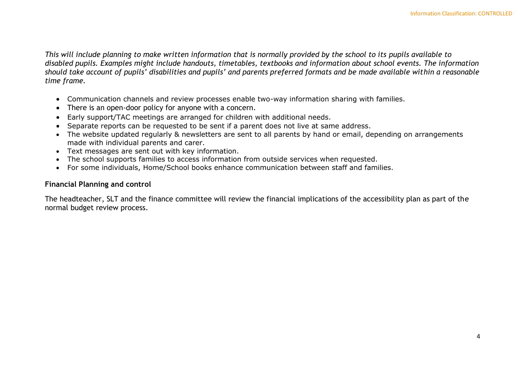*This will include planning to make written information that is normally provided by the school to its pupils available to disabled pupils. Examples might include handouts, timetables, textbooks and information about school events. The information should take account of pupils' disabilities and pupils' and parents preferred formats and be made available within a reasonable time frame.*

- Communication channels and review processes enable two-way information sharing with families.
- There is an open-door policy for anyone with a concern.
- Early support/TAC meetings are arranged for children with additional needs.
- Separate reports can be requested to be sent if a parent does not live at same address.
- The website updated regularly & newsletters are sent to all parents by hand or email, depending on arrangements made with individual parents and carer.
- Text messages are sent out with key information.
- The school supports families to access information from outside services when requested.
- For some individuals, Home/School books enhance communication between staff and families.

### **Financial Planning and control**

The headteacher, SLT and the finance committee will review the financial implications of the accessibility plan as part of the normal budget review process.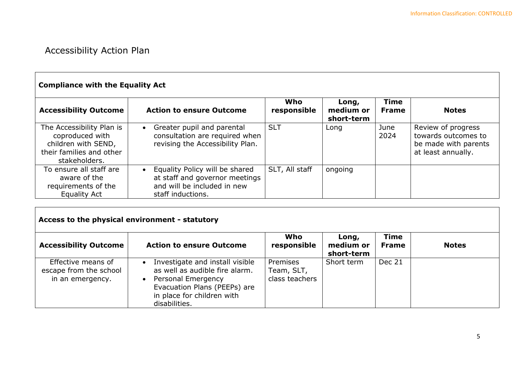# Accessibility Action Plan

Г

| <b>Compliance with the Equality Act</b>                                                                          |                                                                                                                                   |                    |                                  |                             |                                                                                         |  |
|------------------------------------------------------------------------------------------------------------------|-----------------------------------------------------------------------------------------------------------------------------------|--------------------|----------------------------------|-----------------------------|-----------------------------------------------------------------------------------------|--|
| <b>Accessibility Outcome</b>                                                                                     | <b>Action to ensure Outcome</b>                                                                                                   | Who<br>responsible | Long,<br>medium or<br>short-term | <b>Time</b><br><b>Frame</b> | <b>Notes</b>                                                                            |  |
| The Accessibility Plan is<br>coproduced with<br>children with SEND,<br>their families and other<br>stakeholders. | Greater pupil and parental<br>$\bullet$<br>consultation are required when<br>revising the Accessibility Plan.                     | <b>SLT</b>         | Long                             | June<br>2024                | Review of progress<br>towards outcomes to<br>be made with parents<br>at least annually. |  |
| To ensure all staff are<br>aware of the<br>requirements of the<br><b>Equality Act</b>                            | Equality Policy will be shared<br>$\bullet$<br>at staff and governor meetings<br>and will be included in new<br>staff inductions. | SLT, All staff     | ongoing                          |                             |                                                                                         |  |

# **Access to the physical environment - statutory**

| <b>Accessibility Outcome</b>                                     | <b>Action to ensure Outcome</b>                                                                                                                                        | Who<br>responsible                       | Long,<br>medium or<br>short-term | <b>Time</b><br><b>Frame</b> | <b>Notes</b> |
|------------------------------------------------------------------|------------------------------------------------------------------------------------------------------------------------------------------------------------------------|------------------------------------------|----------------------------------|-----------------------------|--------------|
| Effective means of<br>escape from the school<br>in an emergency. | Investigate and install visible<br>as well as audible fire alarm.<br>Personal Emergency<br>Evacuation Plans (PEEPs) are<br>in place for children with<br>disabilities. | Premises<br>Team, SLT,<br>class teachers | Short term                       | Dec 21                      |              |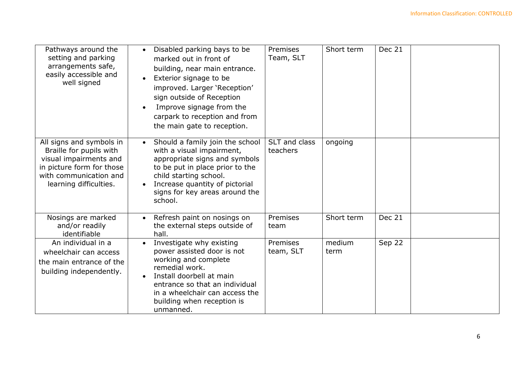| Pathways around the<br>setting and parking<br>arrangements safe,<br>easily accessible and<br>well signed                                                       | Disabled parking bays to be<br>$\bullet$<br>marked out in front of<br>building, near main entrance.<br>Exterior signage to be<br>$\bullet$<br>improved. Larger 'Reception'<br>sign outside of Reception<br>Improve signage from the<br>carpark to reception and from<br>the main gate to reception. | Premises<br>Team, SLT     | Short term     | <b>Dec 21</b> |  |
|----------------------------------------------------------------------------------------------------------------------------------------------------------------|-----------------------------------------------------------------------------------------------------------------------------------------------------------------------------------------------------------------------------------------------------------------------------------------------------|---------------------------|----------------|---------------|--|
| All signs and symbols in<br>Braille for pupils with<br>visual impairments and<br>in picture form for those<br>with communication and<br>learning difficulties. | Should a family join the school<br>$\bullet$<br>with a visual impairment,<br>appropriate signs and symbols<br>to be put in place prior to the<br>child starting school.<br>Increase quantity of pictorial<br>signs for key areas around the<br>school.                                              | SLT and class<br>teachers | ongoing        |               |  |
| Nosings are marked<br>and/or readily<br>identifiable                                                                                                           | Refresh paint on nosings on<br>$\bullet$<br>the external steps outside of<br>hall.                                                                                                                                                                                                                  | Premises<br>team          | Short term     | Dec 21        |  |
| An individual in a<br>wheelchair can access<br>the main entrance of the<br>building independently.                                                             | Investigate why existing<br>$\bullet$<br>power assisted door is not<br>working and complete<br>remedial work.<br>Install doorbell at main<br>$\bullet$<br>entrance so that an individual<br>in a wheelchair can access the<br>building when reception is<br>unmanned.                               | Premises<br>team, SLT     | medium<br>term | Sep 22        |  |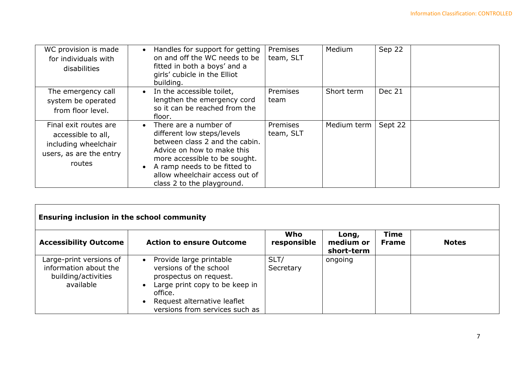| WC provision is made<br>for individuals with<br>disabilities                                             | Handles for support for getting<br>$\bullet$<br>on and off the WC needs to be<br>fitted in both a boys' and a<br>girls' cubicle in the Elliot<br>building.                                                                                                                     | Premises<br>team, SLT        | Medium      | Sep 22  |
|----------------------------------------------------------------------------------------------------------|--------------------------------------------------------------------------------------------------------------------------------------------------------------------------------------------------------------------------------------------------------------------------------|------------------------------|-------------|---------|
| The emergency call<br>system be operated<br>from floor level.                                            | In the accessible toilet,<br>$\bullet$<br>lengthen the emergency cord<br>so it can be reached from the<br>floor.                                                                                                                                                               | Premises<br>team             | Short term  | Dec 21  |
| Final exit routes are<br>accessible to all,<br>including wheelchair<br>users, as are the entry<br>routes | There are a number of<br>$\bullet$<br>different low steps/levels<br>between class 2 and the cabin.<br>Advice on how to make this<br>more accessible to be sought.<br>A ramp needs to be fitted to<br>$\bullet$<br>allow wheelchair access out of<br>class 2 to the playground. | <b>Premises</b><br>team, SLT | Medium term | Sept 22 |

| <b>Ensuring inclusion in the school community</b>                                    |                                                                                                                                                                                                                                  |                    |                                  |                             |              |  |  |
|--------------------------------------------------------------------------------------|----------------------------------------------------------------------------------------------------------------------------------------------------------------------------------------------------------------------------------|--------------------|----------------------------------|-----------------------------|--------------|--|--|
| <b>Accessibility Outcome</b>                                                         | <b>Action to ensure Outcome</b>                                                                                                                                                                                                  | Who<br>responsible | Long,<br>medium or<br>short-term | <b>Time</b><br><b>Frame</b> | <b>Notes</b> |  |  |
| Large-print versions of<br>information about the<br>building/activities<br>available | Provide large printable<br>$\bullet$<br>versions of the school<br>prospectus on request.<br>Large print copy to be keep in<br>$\bullet$<br>office.<br>Request alternative leaflet<br>$\bullet$<br>versions from services such as | SLT/<br>Secretary  | ongoing                          |                             |              |  |  |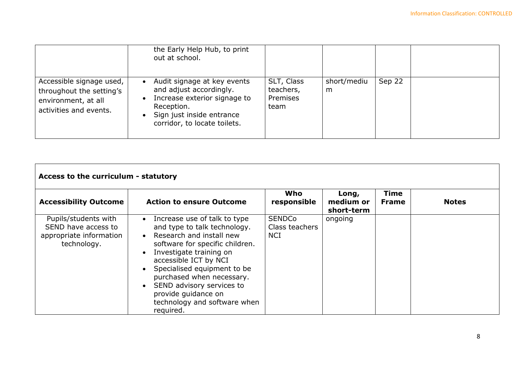|                                                                                                       | the Early Help Hub, to print<br>out at school.                                                                                                                                 |                                             |                  |        |  |
|-------------------------------------------------------------------------------------------------------|--------------------------------------------------------------------------------------------------------------------------------------------------------------------------------|---------------------------------------------|------------------|--------|--|
| Accessible signage used,<br>throughout the setting's<br>environment, at all<br>activities and events. | Audit signage at key events<br>$\bullet$<br>and adjust accordingly.<br>Increase exterior signage to<br>Reception.<br>Sign just inside entrance<br>corridor, to locate toilets. | SLT, Class<br>teachers,<br>Premises<br>team | short/mediu<br>m | Sep 22 |  |

| Access to the curriculum - statutory                                                  |                                                                                                                                                                                                                                                                                                                                                                                                               |                                               |                                  |                             |              |  |
|---------------------------------------------------------------------------------------|---------------------------------------------------------------------------------------------------------------------------------------------------------------------------------------------------------------------------------------------------------------------------------------------------------------------------------------------------------------------------------------------------------------|-----------------------------------------------|----------------------------------|-----------------------------|--------------|--|
| <b>Accessibility Outcome</b>                                                          | <b>Action to ensure Outcome</b>                                                                                                                                                                                                                                                                                                                                                                               | Who<br>responsible                            | Long,<br>medium or<br>short-term | <b>Time</b><br><b>Frame</b> | <b>Notes</b> |  |
| Pupils/students with<br>SEND have access to<br>appropriate information<br>technology. | Increase use of talk to type<br>$\bullet$<br>and type to talk technology.<br>Research and install new<br>$\bullet$<br>software for specific children.<br>Investigate training on<br>$\bullet$<br>accessible ICT by NCI<br>Specialised equipment to be<br>$\bullet$<br>purchased when necessary.<br>SEND advisory services to<br>$\bullet$<br>provide guidance on<br>technology and software when<br>required. | <b>SENDCo</b><br>Class teachers<br><b>NCI</b> | ongoing                          |                             |              |  |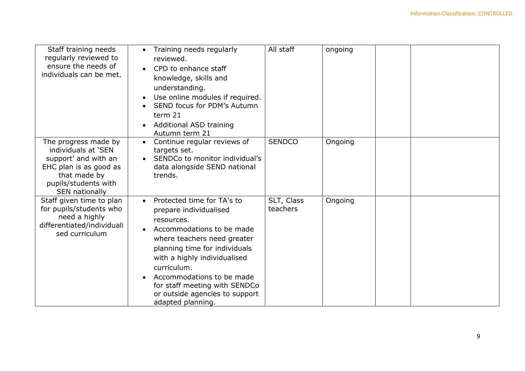| Staff training needs<br>regularly reviewed to<br>ensure the needs of<br>individuals can be met.                                                         | Training needs regularly<br>$\bullet$<br>reviewed.<br>CPD to enhance staff<br>knowledge, skills and<br>understanding.<br>Use online modules if required.<br>SEND focus for PDM's Autumn<br>term 21<br><b>Additional ASD training</b><br>Autumn term 21                                                                                           | All staff              | ongoing |  |
|---------------------------------------------------------------------------------------------------------------------------------------------------------|--------------------------------------------------------------------------------------------------------------------------------------------------------------------------------------------------------------------------------------------------------------------------------------------------------------------------------------------------|------------------------|---------|--|
| The progress made by<br>individuals at 'SEN<br>support' and with an<br>EHC plan is as good as<br>that made by<br>pupils/students with<br>SEN nationally | Continue regular reviews of<br>targets set.<br>SENDCo to monitor individual's<br>data alongside SEND national<br>trends.                                                                                                                                                                                                                         | <b>SENDCO</b>          | Ongoing |  |
| Staff given time to plan<br>for pupils/students who<br>need a highly<br>differentiated/individuali<br>sed curriculum                                    | Protected time for TA's to<br>$\bullet$<br>prepare individualised<br>resources.<br>Accommodations to be made<br>where teachers need greater<br>planning time for individuals<br>with a highly individualised<br>curriculum.<br>Accommodations to be made<br>for staff meeting with SENDCo<br>or outside agencies to support<br>adapted planning. | SLT, Class<br>teachers | Ongoing |  |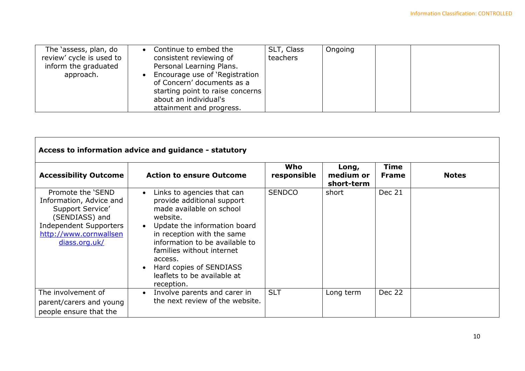| The 'assess, plan, do<br>review' cycle is used to<br>inform the graduated<br>approach. | Continue to embed the<br>$\bullet$<br>consistent reviewing of<br>Personal Learning Plans.<br>Encourage use of 'Registration<br>of Concern' documents as a<br>starting point to raise concerns  <br>about an individual's<br>attainment and progress. | SLT, Class<br>teachers | Ongoing |  |  |
|----------------------------------------------------------------------------------------|------------------------------------------------------------------------------------------------------------------------------------------------------------------------------------------------------------------------------------------------------|------------------------|---------|--|--|
|----------------------------------------------------------------------------------------|------------------------------------------------------------------------------------------------------------------------------------------------------------------------------------------------------------------------------------------------------|------------------------|---------|--|--|

| Access to information advice and guidance - statutory                                                                                                   |                                                                                                                                                                                                                                                                                                                                                         |                    |                                  |                      |              |  |  |
|---------------------------------------------------------------------------------------------------------------------------------------------------------|---------------------------------------------------------------------------------------------------------------------------------------------------------------------------------------------------------------------------------------------------------------------------------------------------------------------------------------------------------|--------------------|----------------------------------|----------------------|--------------|--|--|
| <b>Accessibility Outcome</b>                                                                                                                            | <b>Action to ensure Outcome</b>                                                                                                                                                                                                                                                                                                                         | Who<br>responsible | Long,<br>medium or<br>short-term | Time<br><b>Frame</b> | <b>Notes</b> |  |  |
| Promote the 'SEND<br>Information, Advice and<br>Support Service'<br>(SENDIASS) and<br>Independent Supporters<br>http://www.cornwallsen<br>diass.org.uk/ | Links to agencies that can<br>$\bullet$<br>provide additional support<br>made available on school<br>website.<br>Update the information board<br>$\bullet$<br>in reception with the same<br>information to be available to<br>families without internet<br>access.<br>Hard copies of SENDIASS<br>$\bullet$<br>leaflets to be available at<br>reception. | <b>SENDCO</b>      | short                            | Dec 21               |              |  |  |
| The involvement of<br>parent/carers and young<br>people ensure that the                                                                                 | Involve parents and carer in<br>$\bullet$<br>the next review of the website.                                                                                                                                                                                                                                                                            | <b>SLT</b>         | Long term                        | Dec 22               |              |  |  |